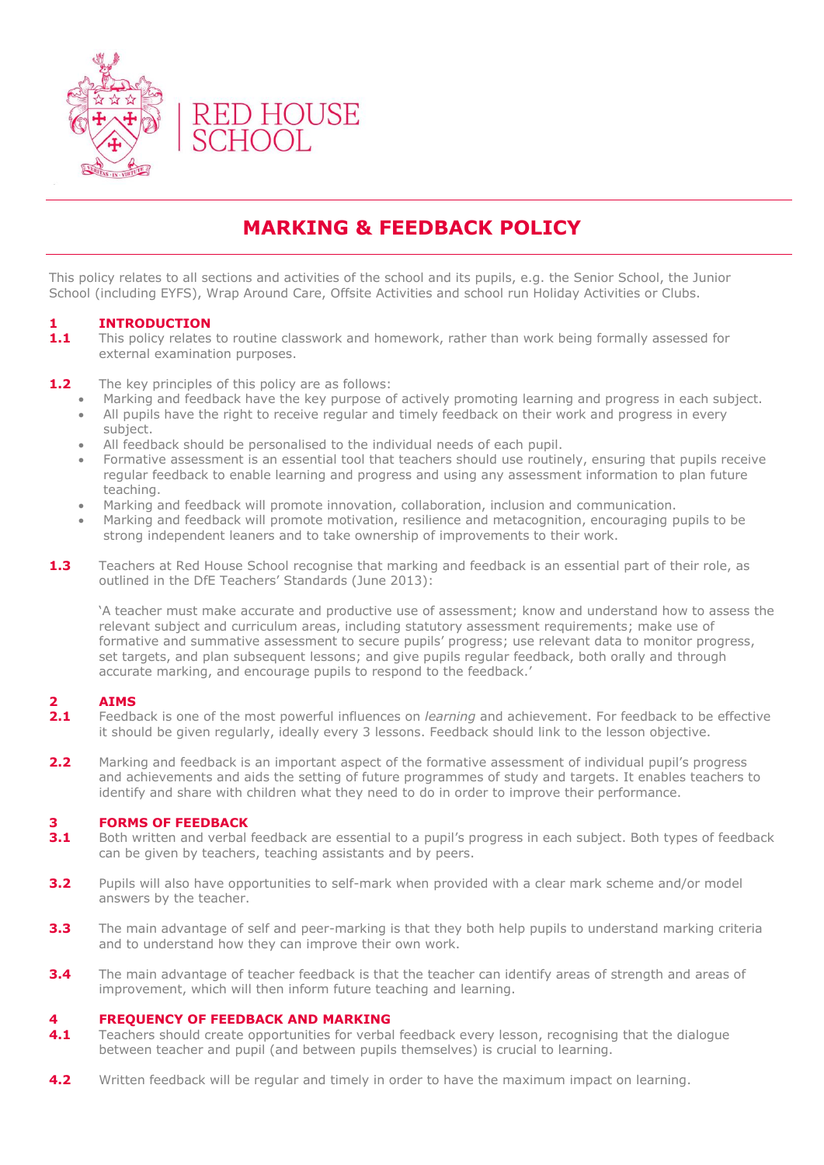

## **MARKING & FEEDBACK POLICY**

This policy relates to all sections and activities of the school and its pupils, e.g. the Senior School, the Junior School (including EYFS), Wrap Around Care, Offsite Activities and school run Holiday Activities or Clubs.

## **1 INTRODUCTION**

- **1.1** This policy relates to routine classwork and homework, rather than work being formally assessed for external examination purposes.
- **1.2** The key principles of this policy are as follows:
	- Marking and feedback have the key purpose of actively promoting learning and progress in each subject.
	- All pupils have the right to receive regular and timely feedback on their work and progress in every subject.
	- All feedback should be personalised to the individual needs of each pupil.
	- Formative assessment is an essential tool that teachers should use routinely, ensuring that pupils receive regular feedback to enable learning and progress and using any assessment information to plan future teaching.
	- Marking and feedback will promote innovation, collaboration, inclusion and communication.
	- Marking and feedback will promote motivation, resilience and metacognition, encouraging pupils to be strong independent leaners and to take ownership of improvements to their work.
- **1.3** Teachers at Red House School recognise that marking and feedback is an essential part of their role, as outlined in the DfE Teachers' Standards (June 2013):

'A teacher must make accurate and productive use of assessment; know and understand how to assess the relevant subject and curriculum areas, including statutory assessment requirements; make use of formative and summative assessment to secure pupils' progress; use relevant data to monitor progress, set targets, and plan subsequent lessons; and give pupils regular feedback, both orally and through accurate marking, and encourage pupils to respond to the feedback.'

### **2 AIMS**

- 2.1 Feedback is one of the most powerful influences on *learning* and achievement. For feedback to be effective it should be given regularly, ideally every 3 lessons. Feedback should link to the lesson objective.
- **2.2** Marking and feedback is an important aspect of the formative assessment of individual pupil's progress and achievements and aids the setting of future programmes of study and targets. It enables teachers to identify and share with children what they need to do in order to improve their performance.

### **3 FORMS OF FEEDBACK**

- **3.1** Both written and verbal feedback are essential to a pupil's progress in each subject. Both types of feedback can be given by teachers, teaching assistants and by peers.
- **3.2** Pupils will also have opportunities to self-mark when provided with a clear mark scheme and/or model answers by the teacher.
- **3.3** The main advantage of self and peer-marking is that they both help pupils to understand marking criteria and to understand how they can improve their own work.
- **3.4** The main advantage of teacher feedback is that the teacher can identify areas of strength and areas of improvement, which will then inform future teaching and learning.

### **4 FREQUENCY OF FEEDBACK AND MARKING**

- **4.1** Teachers should create opportunities for verbal feedback every lesson, recognising that the dialogue between teacher and pupil (and between pupils themselves) is crucial to learning.
- **4.2** Written feedback will be regular and timely in order to have the maximum impact on learning.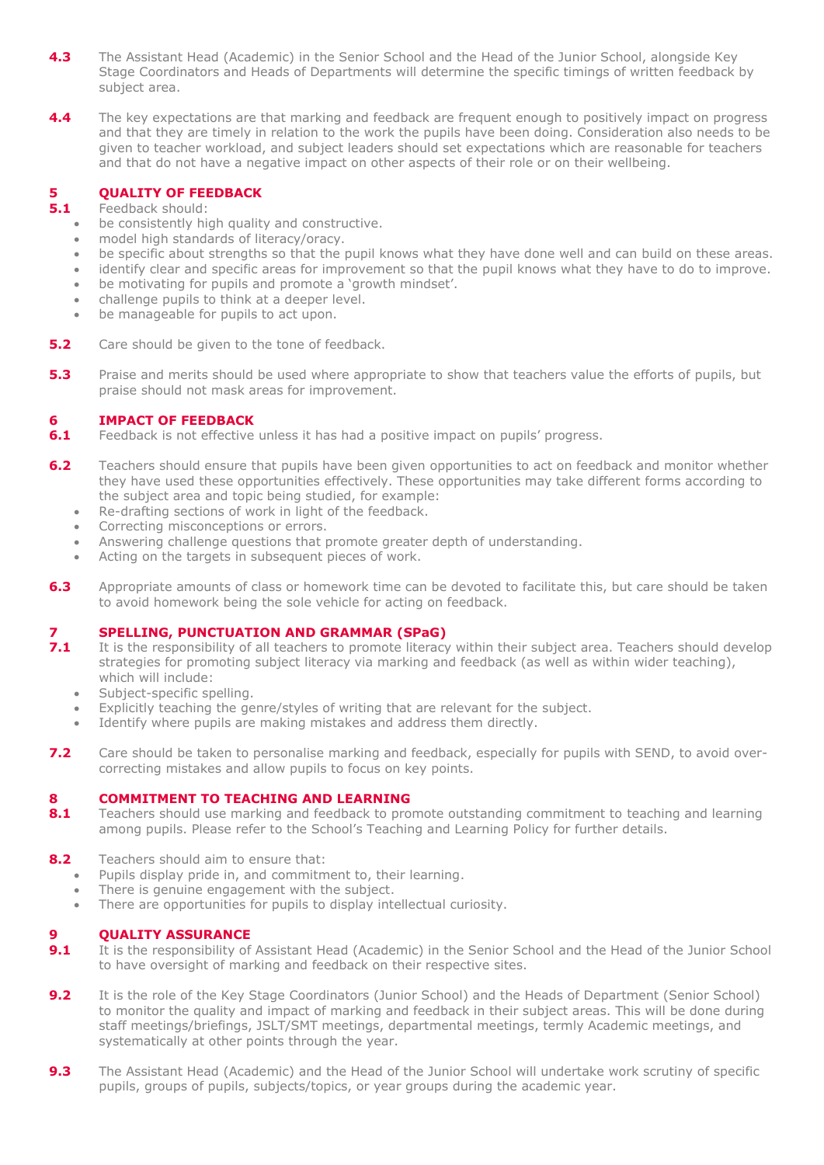- **4.3** The Assistant Head (Academic) in the Senior School and the Head of the Junior School, alongside Key Stage Coordinators and Heads of Departments will determine the specific timings of written feedback by subject area.
- **4.4** The key expectations are that marking and feedback are frequent enough to positively impact on progress and that they are timely in relation to the work the pupils have been doing. Consideration also needs to be given to teacher workload, and subject leaders should set expectations which are reasonable for teachers and that do not have a negative impact on other aspects of their role or on their wellbeing.

## **5 QUALITY OF FEEDBACK**<br>**5.1 Feedback** should:

#### **5.1** Feedback should:

- be consistently high quality and constructive.
- model high standards of literacy/oracy.
- be specific about strengths so that the pupil knows what they have done well and can build on these areas.
- identify clear and specific areas for improvement so that the pupil knows what they have to do to improve.
- be motivating for pupils and promote a 'growth mindset'.
- challenge pupils to think at a deeper level.
- be manageable for pupils to act upon.
- **5.2** Care should be given to the tone of feedback.
- **5.3** Praise and merits should be used where appropriate to show that teachers value the efforts of pupils, but praise should not mask areas for improvement.

### **6 IMPACT OF FEEDBACK**

- **6.1** Feedback is not effective unless it has had a positive impact on pupils' progress.
- **6.2** Teachers should ensure that pupils have been given opportunities to act on feedback and monitor whether they have used these opportunities effectively. These opportunities may take different forms according to the subject area and topic being studied, for example:
	- Re-drafting sections of work in light of the feedback.
	- Correcting misconceptions or errors.
	- Answering challenge questions that promote greater depth of understanding.
	- Acting on the targets in subsequent pieces of work.
- **6.3** Appropriate amounts of class or homework time can be devoted to facilitate this, but care should be taken to avoid homework being the sole vehicle for acting on feedback.

## **7 SPELLING, PUNCTUATION AND GRAMMAR (SPaG)**<br>**7.1** It is the responsibility of all teachers to promote literacy

- **7.1** It is the responsibility of all teachers to promote literacy within their subject area. Teachers should develop strategies for promoting subject literacy via marking and feedback (as well as within wider teaching), which will include:
	- Subject-specific spelling.
	- Explicitly teaching the genre/styles of writing that are relevant for the subject.
	- Identify where pupils are making mistakes and address them directly.
- **7.2** Care should be taken to personalise marking and feedback, especially for pupils with SEND, to avoid overcorrecting mistakes and allow pupils to focus on key points.

### **8 COMMITMENT TO TEACHING AND LEARNING**

- **8.1** Teachers should use marking and feedback to promote outstanding commitment to teaching and learning among pupils. Please refer to the School's Teaching and Learning Policy for further details.
- **8.2** Teachers should aim to ensure that:
	- Pupils display pride in, and commitment to, their learning.
	- There is genuine engagement with the subject.
	- There are opportunities for pupils to display intellectual curiosity.

### **9 QUALITY ASSURANCE**

- **9.1** It is the responsibility of Assistant Head (Academic) in the Senior School and the Head of the Junior School to have oversight of marking and feedback on their respective sites.
- **9.2** It is the role of the Key Stage Coordinators (Junior School) and the Heads of Department (Senior School) to monitor the quality and impact of marking and feedback in their subject areas. This will be done during staff meetings/briefings, JSLT/SMT meetings, departmental meetings, termly Academic meetings, and systematically at other points through the year.
- **9.3** The Assistant Head (Academic) and the Head of the Junior School will undertake work scrutiny of specific pupils, groups of pupils, subjects/topics, or year groups during the academic year.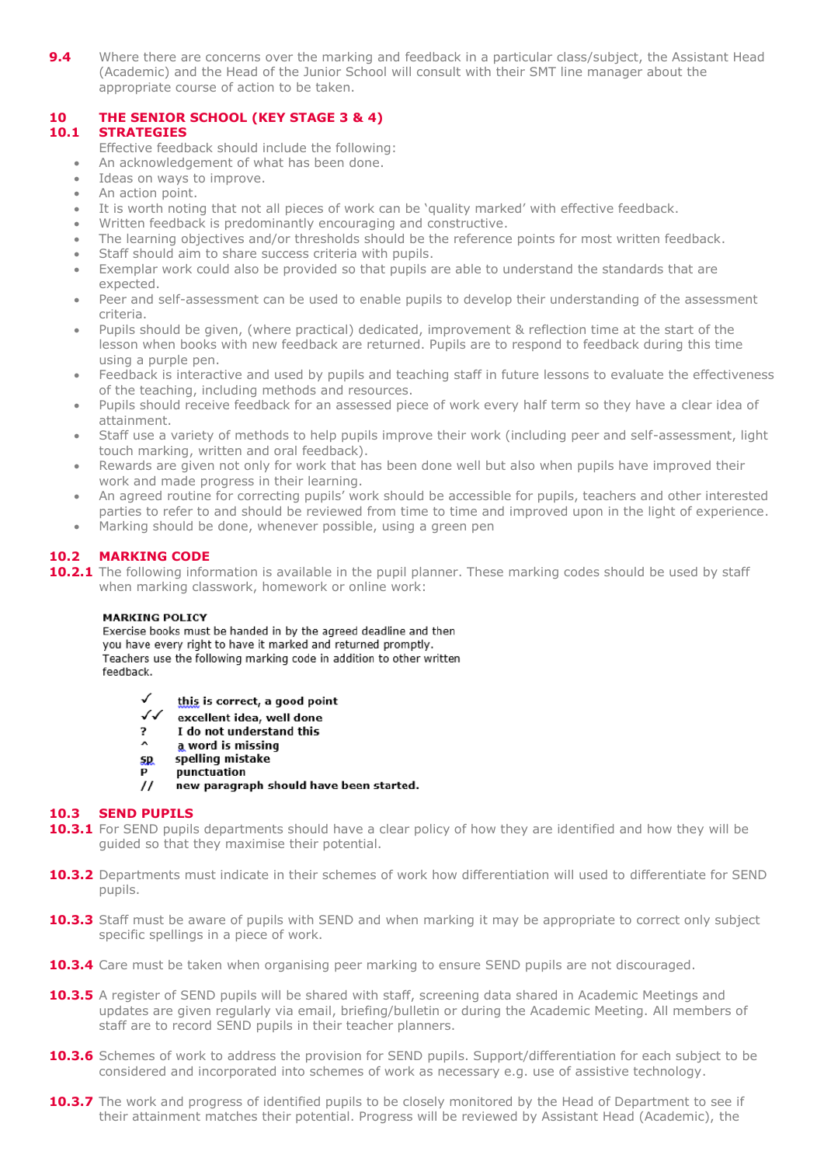**9.4** Where there are concerns over the marking and feedback in a particular class/subject, the Assistant Head (Academic) and the Head of the Junior School will consult with their SMT line manager about the appropriate course of action to be taken.

## **10 THE SENIOR SCHOOL (KEY STAGE 3 & 4)**

## **10.1 STRATEGIES**

- Effective feedback should include the following:
- An acknowledgement of what has been done.
- Ideas on ways to improve.
- An action point.
- It is worth noting that not all pieces of work can be 'quality marked' with effective feedback.
- Written feedback is predominantly encouraging and constructive.
- The learning objectives and/or thresholds should be the reference points for most written feedback.
- Staff should aim to share success criteria with pupils.
- Exemplar work could also be provided so that pupils are able to understand the standards that are expected.
- Peer and self-assessment can be used to enable pupils to develop their understanding of the assessment criteria.
- Pupils should be given, (where practical) dedicated, improvement & reflection time at the start of the lesson when books with new feedback are returned. Pupils are to respond to feedback during this time using a purple pen.
- Feedback is interactive and used by pupils and teaching staff in future lessons to evaluate the effectiveness of the teaching, including methods and resources.
- Pupils should receive feedback for an assessed piece of work every half term so they have a clear idea of attainment.
- Staff use a variety of methods to help pupils improve their work (including peer and self-assessment, light touch marking, written and oral feedback).
- Rewards are given not only for work that has been done well but also when pupils have improved their work and made progress in their learning.
- An agreed routine for correcting pupils' work should be accessible for pupils, teachers and other interested parties to refer to and should be reviewed from time to time and improved upon in the light of experience.
- Marking should be done, whenever possible, using a green pen

## **10.2 MARKING CODE**

**10.2.1** The following information is available in the pupil planner. These marking codes should be used by staff when marking classwork, homework or online work:

### **MARKING POLICY**

Exercise books must be handed in by the agreed deadline and then you have every right to have it marked and returned promptly. Teachers use the following marking code in addition to other written feedback.

- √ this is correct, a good point
- $\checkmark$ excellent idea, well done
- $\overline{\phantom{a}}$ I do not understand this
- $\lambda$ a word is missing
- spelling mistake 5.D
- D punctuation
- $\prime$ new paragraph should have been started.

### **10.3 SEND PUPILS**

- **10.3.1** For SEND pupils departments should have a clear policy of how they are identified and how they will be guided so that they maximise their potential.
- 10.3.2 Departments must indicate in their schemes of work how differentiation will used to differentiate for SEND pupils.
- **10.3.3** Staff must be aware of pupils with SEND and when marking it may be appropriate to correct only subject specific spellings in a piece of work.
- **10.3.4** Care must be taken when organising peer marking to ensure SEND pupils are not discouraged.
- **10.3.5** A register of SEND pupils will be shared with staff, screening data shared in Academic Meetings and updates are given regularly via email, briefing/bulletin or during the Academic Meeting. All members of staff are to record SEND pupils in their teacher planners.
- **10.3.6** Schemes of work to address the provision for SEND pupils. Support/differentiation for each subject to be considered and incorporated into schemes of work as necessary e.g. use of assistive technology.
- **10.3.7** The work and progress of identified pupils to be closely monitored by the Head of Department to see if their attainment matches their potential. Progress will be reviewed by Assistant Head (Academic), the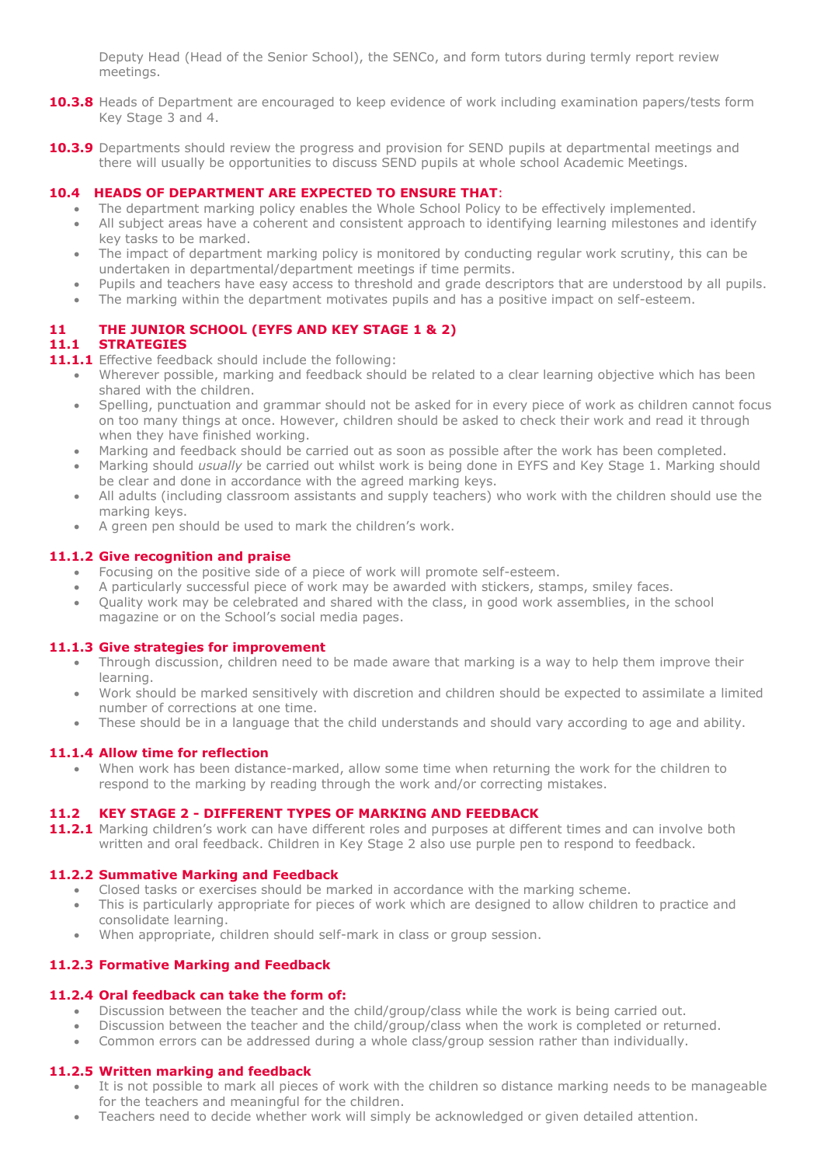Deputy Head (Head of the Senior School), the SENCo, and form tutors during termly report review meetings.

- **10.3.8** Heads of Department are encouraged to keep evidence of work including examination papers/tests form Key Stage 3 and 4.
- **10.3.9** Departments should review the progress and provision for SEND pupils at departmental meetings and there will usually be opportunities to discuss SEND pupils at whole school Academic Meetings.

## **10.4 HEADS OF DEPARTMENT ARE EXPECTED TO ENSURE THAT**:

- The department marking policy enables the Whole School Policy to be effectively implemented.
- All subject areas have a coherent and consistent approach to identifying learning milestones and identify key tasks to be marked.
- The impact of department marking policy is monitored by conducting regular work scrutiny, this can be undertaken in departmental/department meetings if time permits.
- Pupils and teachers have easy access to threshold and grade descriptors that are understood by all pupils.
- The marking within the department motivates pupils and has a positive impact on self-esteem.

## **11 THE JUNIOR SCHOOL (EYFS AND KEY STAGE 1 & 2)**

## **11.1 STRATEGIES**

- 11.1.1 Effective feedback should include the following:
	- Wherever possible, marking and feedback should be related to a clear learning objective which has been shared with the children.
	- Spelling, punctuation and grammar should not be asked for in every piece of work as children cannot focus on too many things at once. However, children should be asked to check their work and read it through when they have finished working.
	- Marking and feedback should be carried out as soon as possible after the work has been completed.
	- Marking should *usually* be carried out whilst work is being done in EYFS and Key Stage 1. Marking should be clear and done in accordance with the agreed marking keys.
	- All adults (including classroom assistants and supply teachers) who work with the children should use the marking keys.
	- A green pen should be used to mark the children's work.

### **11.1.2 Give recognition and praise**

- Focusing on the positive side of a piece of work will promote self-esteem.
- A particularly successful piece of work may be awarded with stickers, stamps, smiley faces.
- Quality work may be celebrated and shared with the class, in good work assemblies, in the school magazine or on the School's social media pages.

### **11.1.3 Give strategies for improvement**

- Through discussion, children need to be made aware that marking is a way to help them improve their learning.
- Work should be marked sensitively with discretion and children should be expected to assimilate a limited number of corrections at one time.
- These should be in a language that the child understands and should vary according to age and ability.

### **11.1.4 Allow time for reflection**

 When work has been distance-marked, allow some time when returning the work for the children to respond to the marking by reading through the work and/or correcting mistakes.

## **11.2 KEY STAGE 2 - DIFFERENT TYPES OF MARKING AND FEEDBACK**

**11.2.1** Marking children's work can have different roles and purposes at different times and can involve both written and oral feedback. Children in Key Stage 2 also use purple pen to respond to feedback.

## **11.2.2 Summative Marking and Feedback**

- Closed tasks or exercises should be marked in accordance with the marking scheme.
- This is particularly appropriate for pieces of work which are designed to allow children to practice and consolidate learning.
- When appropriate, children should self-mark in class or group session.

## **11.2.3 Formative Marking and Feedback**

### **11.2.4 Oral feedback can take the form of:**

- Discussion between the teacher and the child/group/class while the work is being carried out.
- Discussion between the teacher and the child/group/class when the work is completed or returned.
- Common errors can be addressed during a whole class/group session rather than individually.

## **11.2.5 Written marking and feedback**

- It is not possible to mark all pieces of work with the children so distance marking needs to be manageable for the teachers and meaningful for the children.
- Teachers need to decide whether work will simply be acknowledged or given detailed attention.